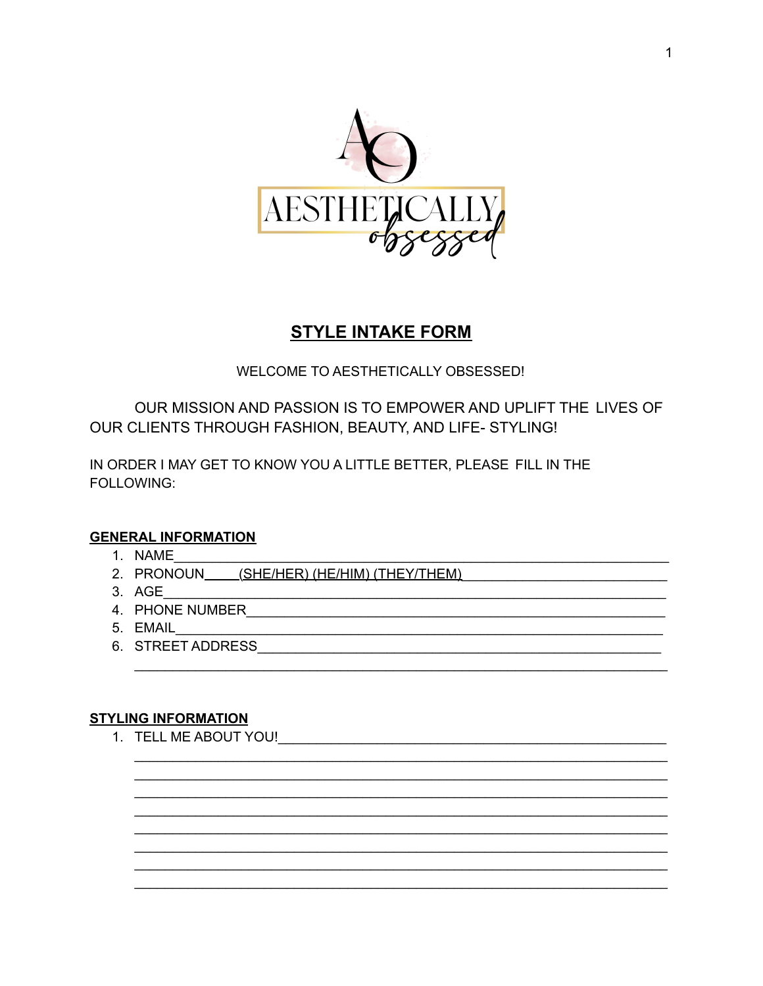

## **STYLE INTAKE FORM**

WELCOME TO AESTHETICALLY OBSESSED!

OUR MISSION AND PASSION IS TO EMPOWER AND UPLIFT THE LIVES OF OUR CLIENTS THROUGH FASHION, BEAUTY, AND LIFE- STYLING!

<u> 1989 - Johann Barbara, martxa alemaniar a</u>

IN ORDER I MAY GET TO KNOW YOU A LITTLE BETTER, PLEASE FILL IN THE FOLLOWING:

## **GENERAL INFORMATION**

- 1. NAME
- 2. PRONOUN\_\_\_\_\_(SHE/HER) (HE/HIM) (THEY/THEM)
- 3. AGE
- 4. PHONE NUMBER AND THE STATE OF THE STATE OF THE STATE OF THE STATE OF THE STATE OF THE STATE OF THE STATE OF
- 5. EMAIL
- 6. STREET ADDRESS AND THE STREET AND THE STREET AND THE STREET AND THE STREET AND THE STREET AND THE STREET AND THE STREET AND THE STREET AND THE STREET AND THE STREET AND THE STREET AND THE STREET AND THE STREET AND THE S

## **STYLING INFORMATION**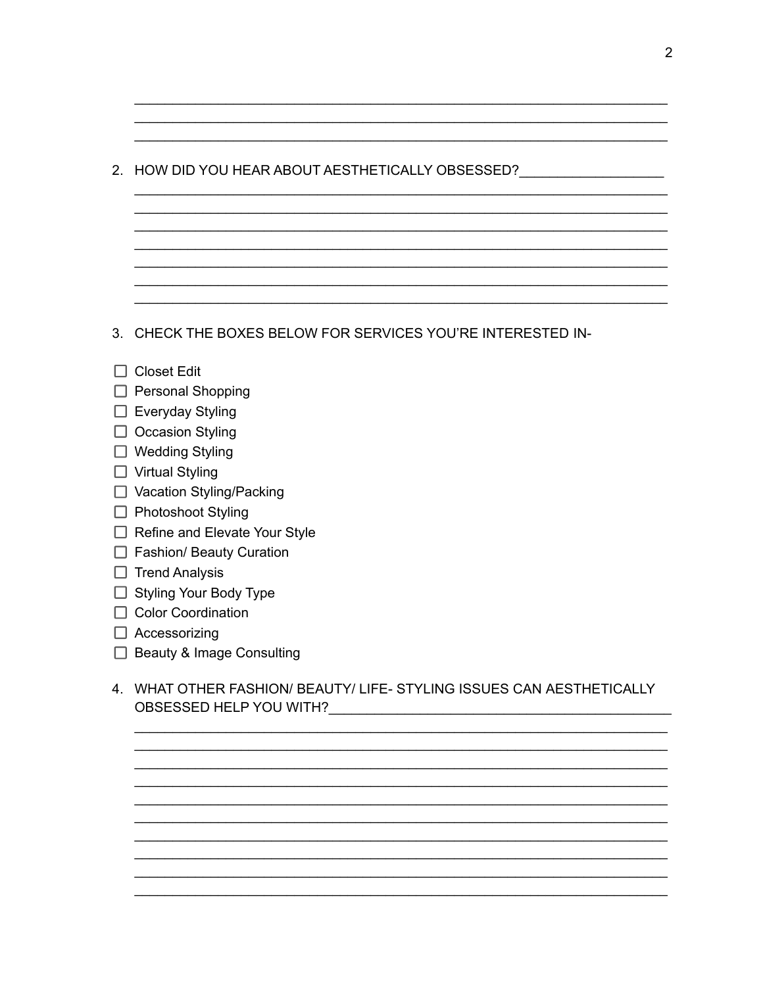| 2. HOW DID YOU HEAR ABOUT AESTHETICALLY OBSESSED?                                               |
|-------------------------------------------------------------------------------------------------|
|                                                                                                 |
|                                                                                                 |
|                                                                                                 |
| CHECK THE BOXES BELOW FOR SERVICES YOU'RE INTERESTED IN-<br>3.                                  |
| <b>Closet Edit</b>                                                                              |
| $\Box$ Personal Shopping                                                                        |
| $\Box$ Everyday Styling                                                                         |
| $\Box$ Occasion Styling                                                                         |
| $\Box$ Wedding Styling                                                                          |
| □ Virtual Styling                                                                               |
| □ Vacation Styling/Packing                                                                      |
| □ Photoshoot Styling                                                                            |
| $\Box$ Refine and Elevate Your Style                                                            |
| $\Box$ Fashion/ Beauty Curation                                                                 |
| $\Box$ Trend Analysis                                                                           |
| <b>Styling Your Body Type</b>                                                                   |
| $\Box$ Color Coordination                                                                       |
| $\Box$ Accessorizing                                                                            |
| <b>Beauty &amp; Image Consulting</b>                                                            |
| WHAT OTHER FASHION/BEAUTY/LIFE-STYLING ISSUES CAN AESTHETICALLY<br>4<br>OBSESSED HELP YOU WITH? |

<u> 1989 - Johann Stoff, Amerikaansk konst</u>



 $\overline{\phantom{a}}$